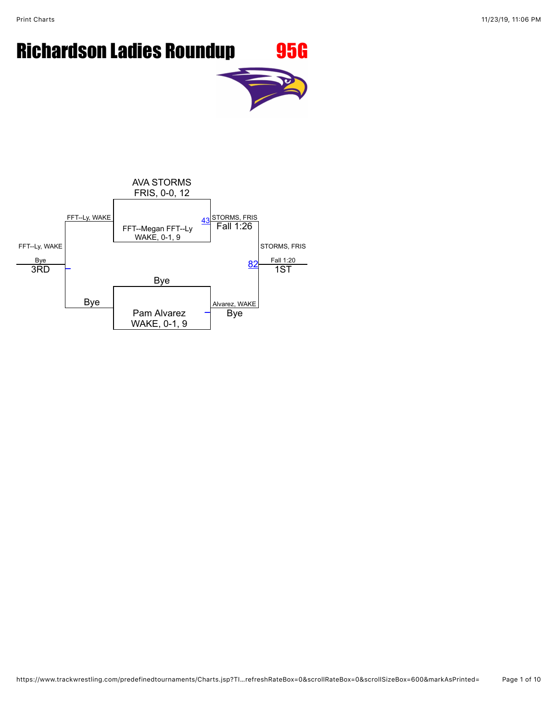Print Charts 2002 11/23/19, 11:06 PM



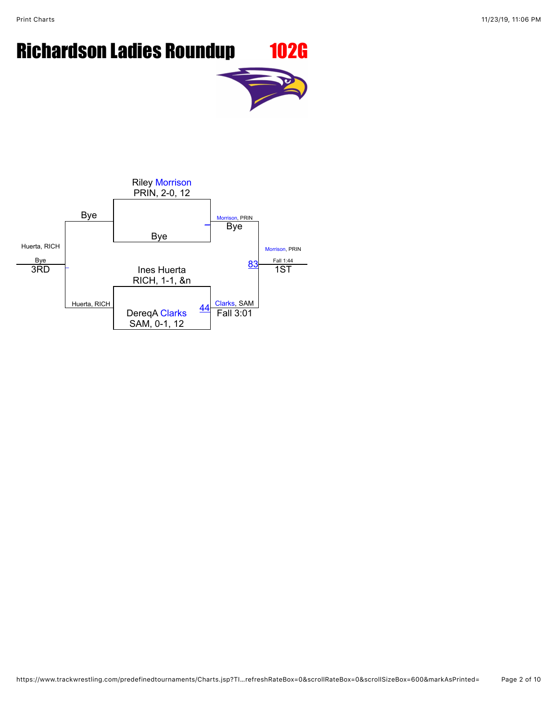### Richardson Ladies Roundup 102G

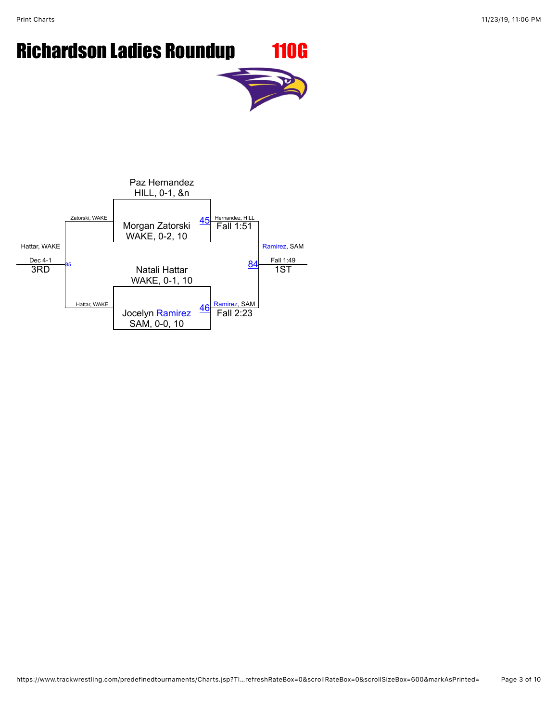Print Charts 2002 11/23/19, 11:06 PM

## Richardson Ladies Roundup 110G

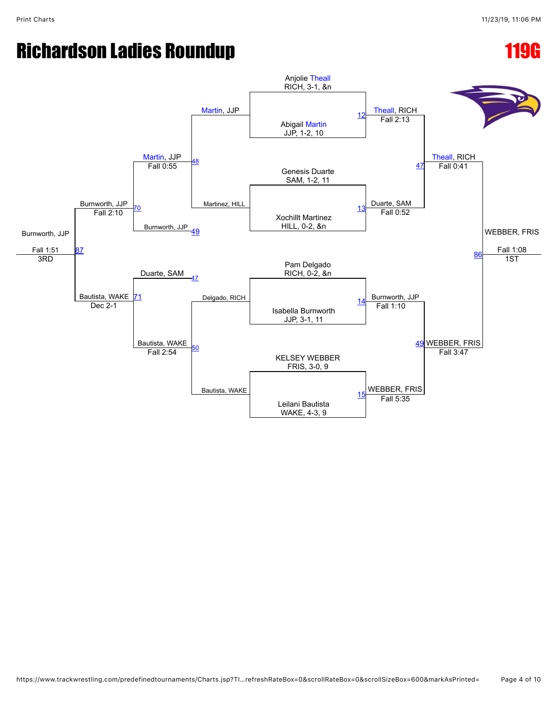### Richardson Ladies Roundup **119G**

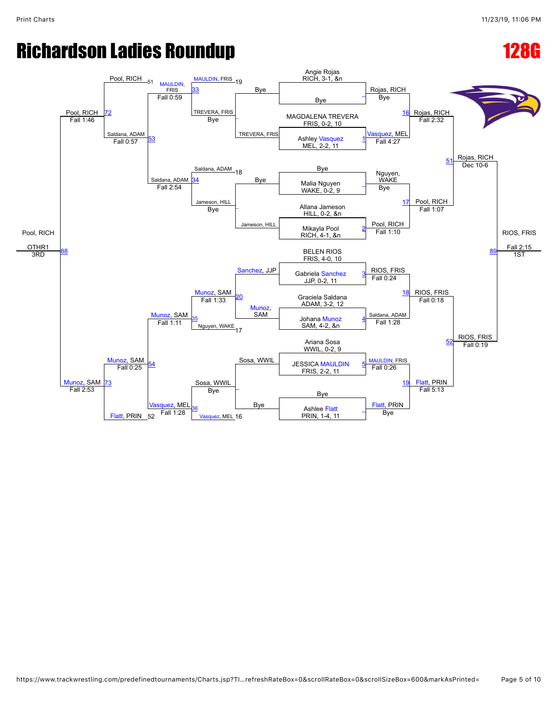### Richardson Ladies Roundup **128G**

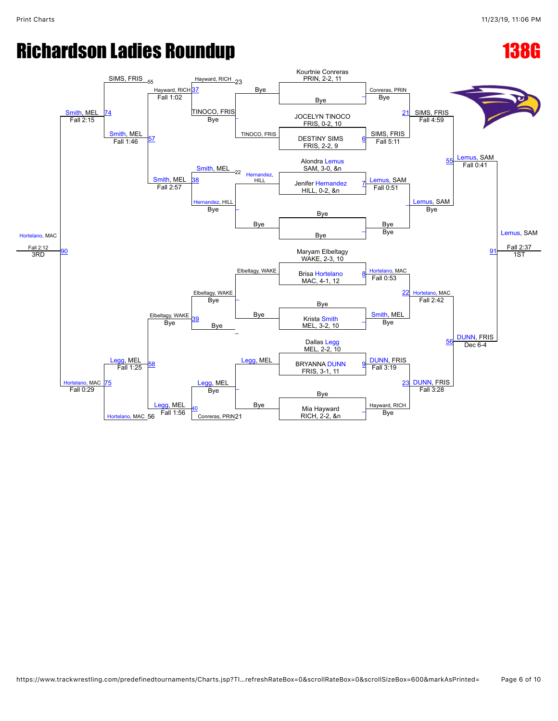### Richardson Ladies Roundup **138G**

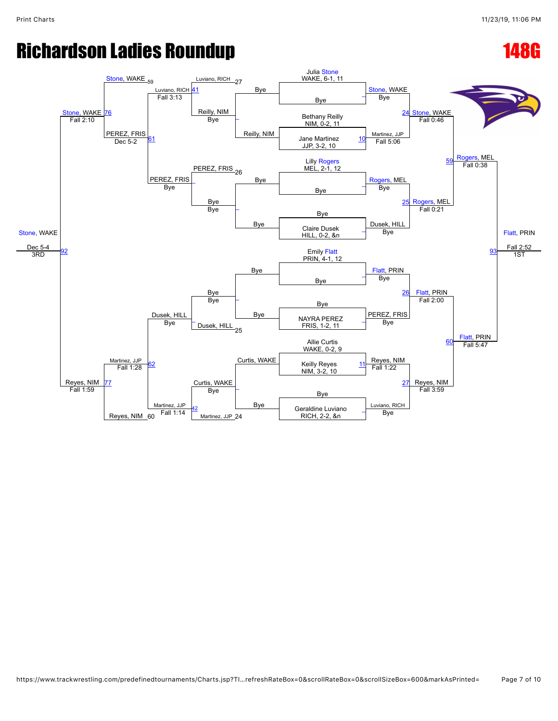### Richardson Ladies Roundup **148G**

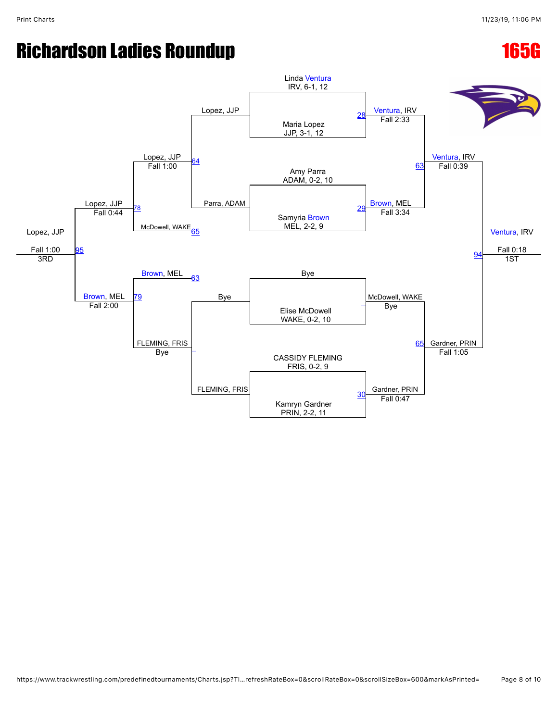### Richardson Ladies Roundup **165G**

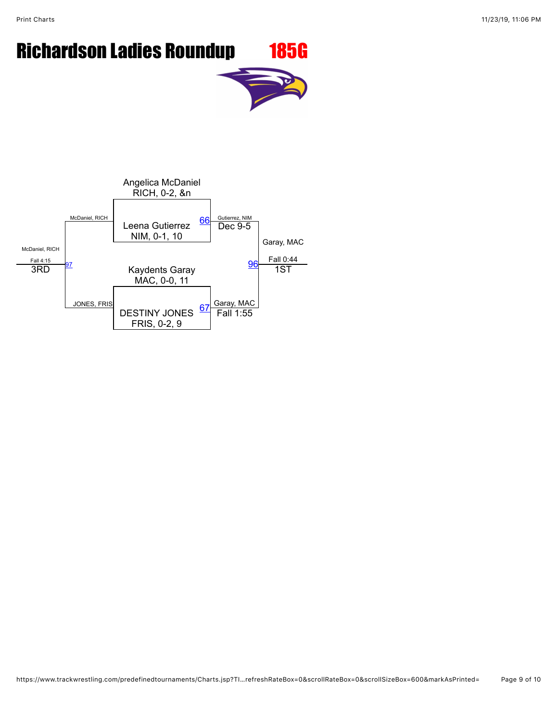# Richardson Ladies Roundup 185G